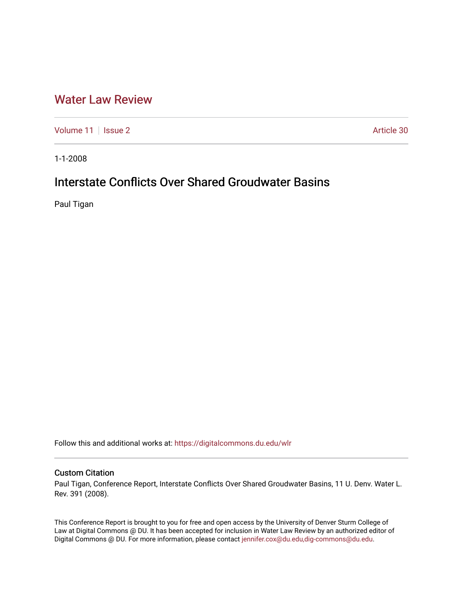## [Water Law Review](https://digitalcommons.du.edu/wlr)

[Volume 11](https://digitalcommons.du.edu/wlr/vol11) | [Issue 2](https://digitalcommons.du.edu/wlr/vol11/iss2) Article 30

1-1-2008

# Interstate Conflicts Over Shared Groudwater Basins

Paul Tigan

Follow this and additional works at: [https://digitalcommons.du.edu/wlr](https://digitalcommons.du.edu/wlr?utm_source=digitalcommons.du.edu%2Fwlr%2Fvol11%2Fiss2%2F30&utm_medium=PDF&utm_campaign=PDFCoverPages) 

### Custom Citation

Paul Tigan, Conference Report, Interstate Conflicts Over Shared Groudwater Basins, 11 U. Denv. Water L. Rev. 391 (2008).

This Conference Report is brought to you for free and open access by the University of Denver Sturm College of Law at Digital Commons @ DU. It has been accepted for inclusion in Water Law Review by an authorized editor of Digital Commons @ DU. For more information, please contact [jennifer.cox@du.edu,dig-commons@du.edu](mailto:jennifer.cox@du.edu,dig-commons@du.edu).